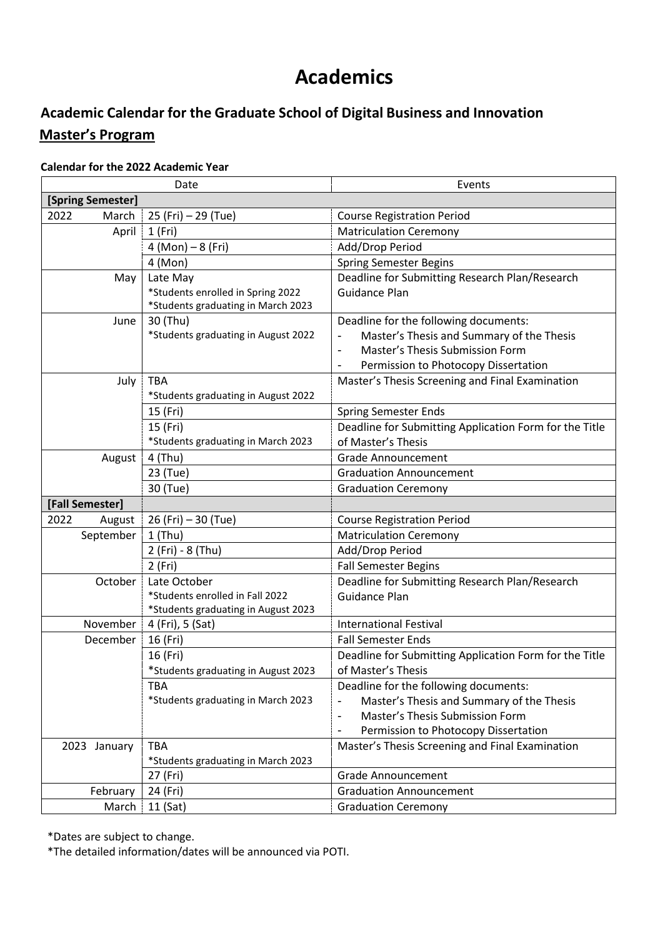# **Academics**

## **Academic Calendar for the Graduate School of Digital Business and Innovation Master's Program**

#### **Calendar for the 2022 Academic Year**

| Date              |                                     | Events                                                 |  |
|-------------------|-------------------------------------|--------------------------------------------------------|--|
| [Spring Semester] |                                     |                                                        |  |
| 2022<br>March     | 25 (Fri) - 29 (Tue)                 | <b>Course Registration Period</b>                      |  |
| April             | 1(Fri)                              | <b>Matriculation Ceremony</b>                          |  |
|                   | $4 (Mon) - 8 (Fri)$                 | Add/Drop Period                                        |  |
|                   | 4 (Mon)                             | <b>Spring Semester Begins</b>                          |  |
| May               | Late May                            | Deadline for Submitting Research Plan/Research         |  |
|                   | *Students enrolled in Spring 2022   | <b>Guidance Plan</b>                                   |  |
|                   | *Students graduating in March 2023  |                                                        |  |
| June              | 30 (Thu)                            | Deadline for the following documents:                  |  |
|                   | *Students graduating in August 2022 | Master's Thesis and Summary of the Thesis              |  |
|                   |                                     | Master's Thesis Submission Form                        |  |
|                   |                                     | Permission to Photocopy Dissertation                   |  |
| July              | <b>TBA</b>                          | Master's Thesis Screening and Final Examination        |  |
|                   | *Students graduating in August 2022 |                                                        |  |
|                   | 15 (Fri)                            | <b>Spring Semester Ends</b>                            |  |
|                   | 15 (Fri)                            | Deadline for Submitting Application Form for the Title |  |
|                   | *Students graduating in March 2023  | of Master's Thesis                                     |  |
| August            | 4 (Thu)                             | <b>Grade Announcement</b>                              |  |
|                   | 23 (Tue)                            | <b>Graduation Announcement</b>                         |  |
|                   | 30 (Tue)                            | <b>Graduation Ceremony</b>                             |  |
| [Fall Semester]   |                                     |                                                        |  |
| 2022<br>August    | 26 (Fri) – 30 (Tue)                 | <b>Course Registration Period</b>                      |  |
| September         | $1$ (Thu)                           | <b>Matriculation Ceremony</b>                          |  |
|                   | 2 (Fri) - 8 (Thu)                   | Add/Drop Period                                        |  |
|                   | 2 (Fri)                             | <b>Fall Semester Begins</b>                            |  |
| October           | Late October                        | Deadline for Submitting Research Plan/Research         |  |
|                   | *Students enrolled in Fall 2022     | Guidance Plan                                          |  |
|                   | *Students graduating in August 2023 |                                                        |  |
| November          | 4 (Fri), 5 (Sat)                    | <b>International Festival</b>                          |  |
| December          | 16 (Fri)                            | <b>Fall Semester Ends</b>                              |  |
|                   | 16 (Fri)                            | Deadline for Submitting Application Form for the Title |  |
|                   | *Students graduating in August 2023 | of Master's Thesis                                     |  |
|                   | <b>TBA</b>                          | Deadline for the following documents:                  |  |
|                   | *Students graduating in March 2023  | Master's Thesis and Summary of the Thesis              |  |
|                   |                                     | Master's Thesis Submission Form<br>-                   |  |
|                   |                                     | Permission to Photocopy Dissertation                   |  |
| 2023<br>January   | <b>TBA</b>                          | Master's Thesis Screening and Final Examination        |  |
|                   | *Students graduating in March 2023  |                                                        |  |
|                   | 27 (Fri)                            | <b>Grade Announcement</b>                              |  |
| February          | 24 (Fri)                            | <b>Graduation Announcement</b>                         |  |
| March             | $11$ (Sat)                          | <b>Graduation Ceremony</b>                             |  |

\*Dates are subject to change.

\*The detailed information/dates will be announced via POTI.